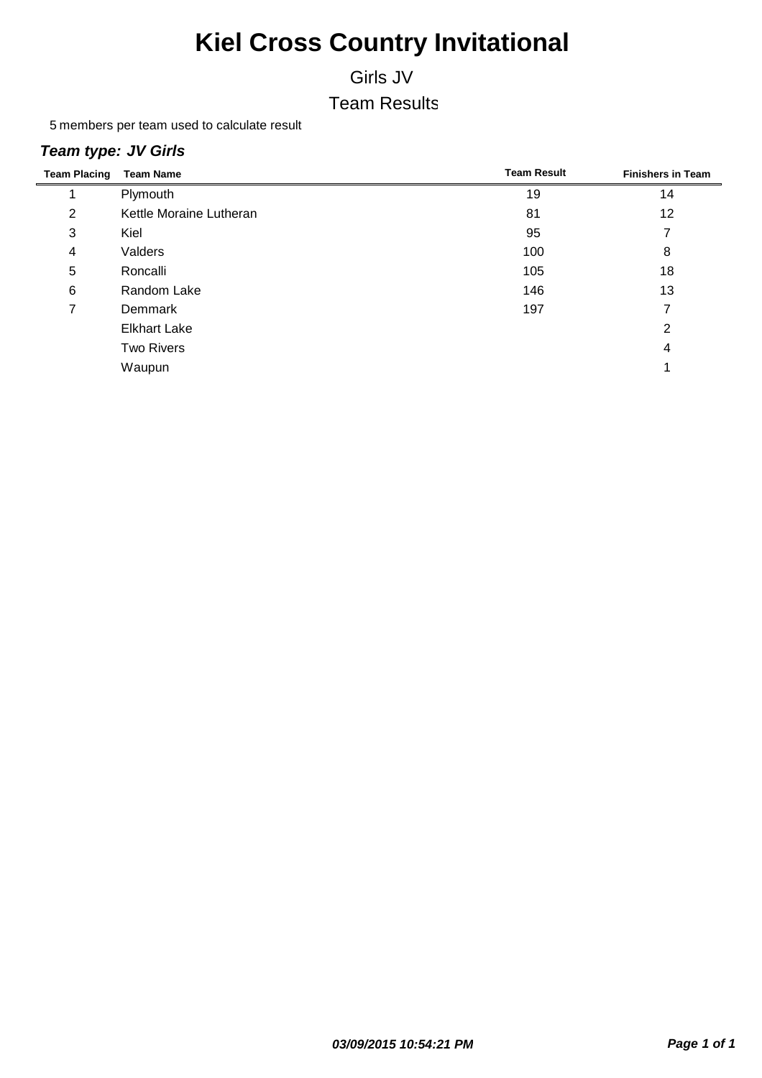#### Girls JV

#### Team Results

5 members per team used to calculate result

#### *Team type: JV Girls*

| <b>Team Placing</b> | <b>Team Name</b>        | <b>Team Result</b> | <b>Finishers in Team</b> |
|---------------------|-------------------------|--------------------|--------------------------|
|                     | Plymouth                | 19                 | 14                       |
| 2                   | Kettle Moraine Lutheran | 81                 | 12                       |
| 3                   | Kiel                    | 95                 | 7                        |
| 4                   | Valders                 | 100                | 8                        |
| 5                   | Roncalli                | 105                | 18                       |
| 6                   | Random Lake             | 146                | 13                       |
| 7                   | Demmark                 | 197                | 7                        |
|                     | <b>Elkhart Lake</b>     |                    | 2                        |
|                     | <b>Two Rivers</b>       |                    | 4                        |
|                     | Waupun                  |                    |                          |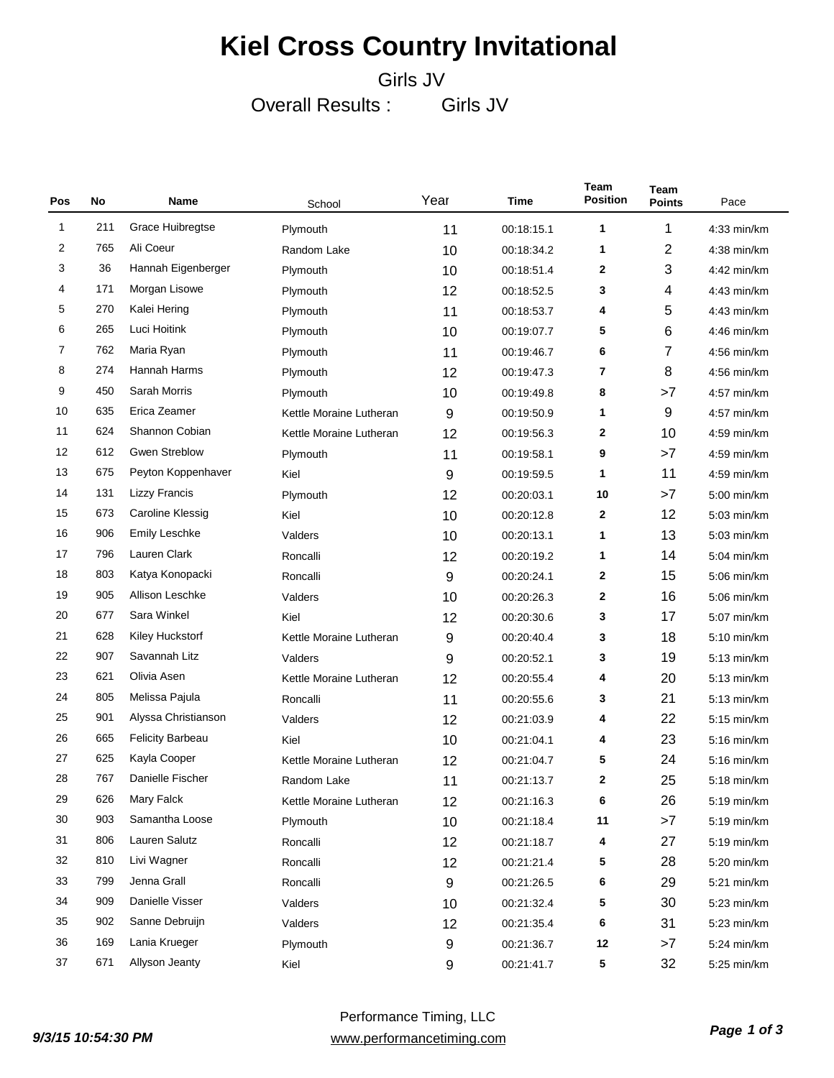Girls JV

Overall Results: Girls JV

| Pos | No  | Name                    | School                  | Year | Time       | Team<br><b>Position</b> | Team<br><b>Points</b> | Pace          |
|-----|-----|-------------------------|-------------------------|------|------------|-------------------------|-----------------------|---------------|
| 1   | 211 | Grace Huibregtse        | Plymouth                | 11   | 00:18:15.1 | 1                       | 1                     | 4:33 min/km   |
| 2   | 765 | Ali Coeur               | Random Lake             | 10   | 00:18:34.2 | 1                       | 2                     | $4:38$ min/km |
| 3   | 36  | Hannah Eigenberger      | Plymouth                | 10   | 00:18:51.4 | 2                       | 3                     | 4:42 min/km   |
| 4   | 171 | Morgan Lisowe           | Plymouth                | 12   | 00:18:52.5 | 3                       | 4                     | 4:43 min/km   |
| 5   | 270 | Kalei Hering            | Plymouth                | 11   | 00:18:53.7 | 4                       | 5                     | 4:43 min/km   |
| 6   | 265 | Luci Hoitink            | Plymouth                | 10   | 00:19:07.7 | 5                       | 6                     | 4:46 min/km   |
| 7   | 762 | Maria Ryan              | Plymouth                | 11   | 00:19:46.7 | 6                       | 7                     | 4:56 min/km   |
| 8   | 274 | Hannah Harms            | Plymouth                | 12   | 00:19:47.3 | 7                       | 8                     | 4:56 min/km   |
| 9   | 450 | Sarah Morris            | Plymouth                | 10   | 00:19:49.8 | 8                       | >7                    | 4:57 min/km   |
| 10  | 635 | Erica Zeamer            | Kettle Moraine Lutheran | 9    | 00:19:50.9 | 1                       | 9                     | 4:57 min/km   |
| 11  | 624 | Shannon Cobian          | Kettle Moraine Lutheran | 12   | 00:19:56.3 | 2                       | 10                    | 4:59 min/km   |
| 12  | 612 | <b>Gwen Streblow</b>    | Plymouth                | 11   | 00:19:58.1 | 9                       | >7                    | 4:59 min/km   |
| 13  | 675 | Peyton Koppenhaver      | Kiel                    | 9    | 00:19:59.5 | 1                       | 11                    | 4:59 min/km   |
| 14  | 131 | <b>Lizzy Francis</b>    | Plymouth                | 12   | 00:20:03.1 | 10                      | >7                    | 5:00 min/km   |
| 15  | 673 | Caroline Klessig        | Kiel                    | 10   | 00:20:12.8 | $\mathbf{2}$            | 12                    | 5:03 min/km   |
| 16  | 906 | Emily Leschke           | Valders                 | 10   | 00:20:13.1 | 1                       | 13                    | 5:03 min/km   |
| 17  | 796 | Lauren Clark            | Roncalli                | 12   | 00:20:19.2 | 1                       | 14                    | 5:04 min/km   |
| 18  | 803 | Katya Konopacki         | Roncalli                | 9    | 00:20:24.1 | 2                       | 15                    | 5:06 min/km   |
| 19  | 905 | Allison Leschke         | Valders                 | 10   | 00:20:26.3 | 2                       | 16                    | 5:06 min/km   |
| 20  | 677 | Sara Winkel             | Kiel                    | 12   | 00:20:30.6 | 3                       | 17                    | 5:07 min/km   |
| 21  | 628 | Kiley Huckstorf         | Kettle Moraine Lutheran | 9    | 00:20:40.4 | 3                       | 18                    | 5:10 min/km   |
| 22  | 907 | Savannah Litz           | Valders                 | 9    | 00:20:52.1 | 3                       | 19                    | 5:13 min/km   |
| 23  | 621 | Olivia Asen             | Kettle Moraine Lutheran | 12   | 00:20:55.4 | 4                       | 20                    | 5:13 min/km   |
| 24  | 805 | Melissa Pajula          | Roncalli                | 11   | 00:20:55.6 | 3                       | 21                    | 5:13 min/km   |
| 25  | 901 | Alyssa Christianson     | Valders                 | 12   | 00:21:03.9 | 4                       | 22                    | 5:15 min/km   |
| 26  | 665 | <b>Felicity Barbeau</b> | Kiel                    | 10   | 00:21:04.1 | 4                       | 23                    | 5:16 min/km   |
| 27  | 625 | Kayla Cooper            | Kettle Moraine Lutheran | 12   | 00:21:04.7 | 5                       | 24                    | 5:16 min/km   |
| 28  | 767 | Danielle Fischer        | Random Lake             | 11   | 00:21:13.7 | 2                       | 25                    | 5:18 min/km   |
| 29  | 626 | Mary Falck              | Kettle Moraine Lutheran | 12   | 00:21:16.3 | 6                       | 26                    | 5:19 min/km   |
| 30  | 903 | Samantha Loose          | Plymouth                | 10   | 00:21:18.4 | 11                      | >7                    | 5:19 min/km   |
| 31  | 806 | Lauren Salutz           | Roncalli                | 12   | 00:21:18.7 | 4                       | 27                    | 5:19 min/km   |
| 32  | 810 | Livi Wagner             | Roncalli                | 12   | 00:21:21.4 | 5                       | 28                    | 5:20 min/km   |
| 33  | 799 | Jenna Grall             | Roncalli                | 9    | 00:21:26.5 | 6                       | 29                    | 5:21 min/km   |
| 34  | 909 | Danielle Visser         | Valders                 | 10   | 00:21:32.4 | 5                       | 30                    | 5:23 min/km   |
| 35  | 902 | Sanne Debruijn          | Valders                 | 12   | 00:21:35.4 | 6                       | 31                    | 5:23 min/km   |
| 36  | 169 | Lania Krueger           | Plymouth                | 9    | 00:21:36.7 | $12$                    | >7                    | 5:24 min/km   |
| 37  | 671 | Allyson Jeanty          | Kiel                    | 9    | 00:21:41.7 | 5                       | 32                    | 5:25 min/km   |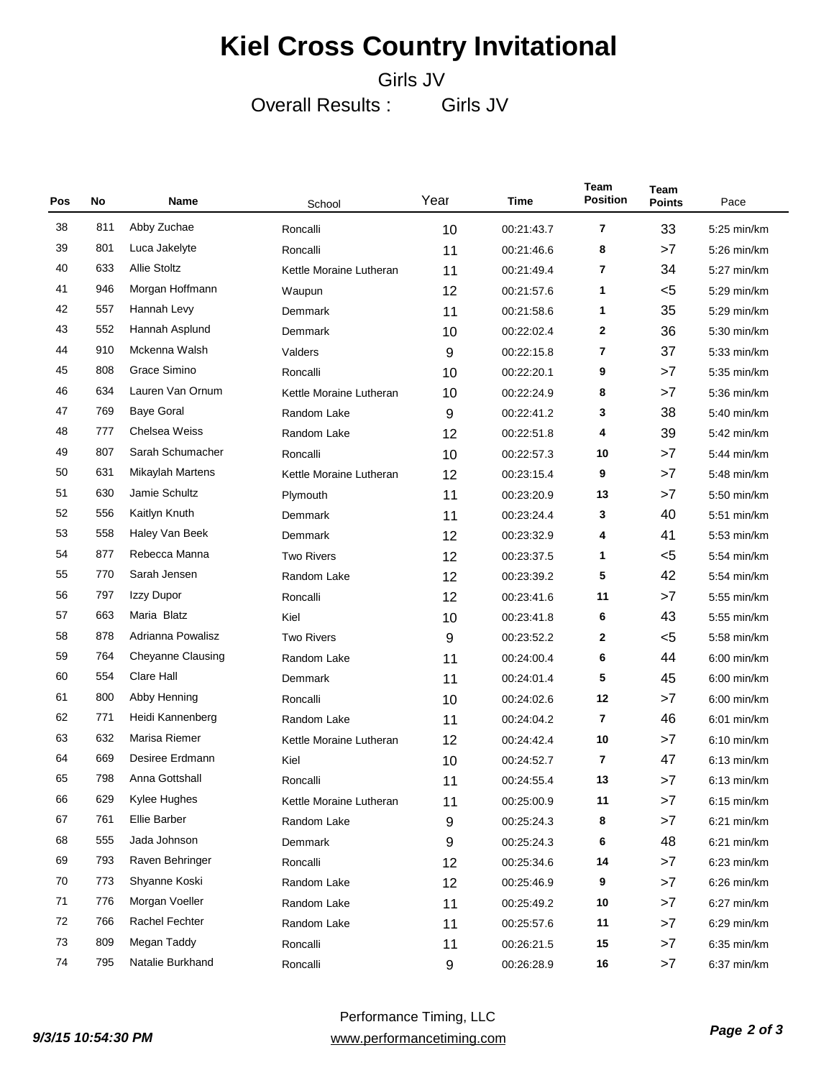Girls JV

Overall Results: Girls JV

| Pos | No  | Name                     | School                  | Year | Time       | <b>Team</b><br><b>Position</b> | Team<br><b>Points</b> | Pace          |
|-----|-----|--------------------------|-------------------------|------|------------|--------------------------------|-----------------------|---------------|
| 38  | 811 | Abby Zuchae              | Roncalli                | 10   | 00:21:43.7 | 7                              | 33                    | 5:25 min/km   |
| 39  | 801 | Luca Jakelyte            | Roncalli                | 11   | 00:21:46.6 | 8                              | >7                    | 5:26 min/km   |
| 40  | 633 | <b>Allie Stoltz</b>      | Kettle Moraine Lutheran | 11   | 00:21:49.4 | 7                              | 34                    | 5:27 min/km   |
| 41  | 946 | Morgan Hoffmann          | Waupun                  | 12   | 00:21:57.6 | 1                              | $5$                   | 5:29 min/km   |
| 42  | 557 | Hannah Levy              | Demmark                 | 11   | 00:21:58.6 | 1                              | 35                    | 5:29 min/km   |
| 43  | 552 | Hannah Asplund           | Demmark                 | 10   | 00:22:02.4 | 2                              | 36                    | 5:30 min/km   |
| 44  | 910 | Mckenna Walsh            | Valders                 | 9    | 00:22:15.8 | 7                              | 37                    | 5:33 min/km   |
| 45  | 808 | Grace Simino             | Roncalli                | 10   | 00:22:20.1 | 9                              | >7                    | 5:35 min/km   |
| 46  | 634 | Lauren Van Ornum         | Kettle Moraine Lutheran | 10   | 00:22:24.9 | 8                              | >7                    | 5:36 min/km   |
| 47  | 769 | <b>Baye Goral</b>        | Random Lake             | 9    | 00:22:41.2 | 3                              | 38                    | 5:40 min/km   |
| 48  | 777 | Chelsea Weiss            | Random Lake             | 12   | 00:22:51.8 | 4                              | 39                    | 5:42 min/km   |
| 49  | 807 | Sarah Schumacher         | Roncalli                | 10   | 00:22:57.3 | 10                             | >7                    | 5:44 min/km   |
| 50  | 631 | Mikaylah Martens         | Kettle Moraine Lutheran | 12   | 00:23:15.4 | 9                              | >7                    | 5:48 min/km   |
| 51  | 630 | Jamie Schultz            | Plymouth                | 11   | 00:23:20.9 | 13                             | >7                    | 5:50 min/km   |
| 52  | 556 | Kaitlyn Knuth            | Demmark                 | 11   | 00:23:24.4 | 3                              | 40                    | 5:51 min/km   |
| 53  | 558 | Haley Van Beek           | Demmark                 | 12   | 00:23:32.9 | 4                              | 41                    | 5:53 min/km   |
| 54  | 877 | Rebecca Manna            | <b>Two Rivers</b>       | 12   | 00:23:37.5 | 1                              | $5$                   | 5:54 min/km   |
| 55  | 770 | Sarah Jensen             | Random Lake             | 12   | 00:23:39.2 | 5                              | 42                    | 5:54 min/km   |
| 56  | 797 | Izzy Dupor               | Roncalli                | 12   | 00:23:41.6 | 11                             | >7                    | 5:55 min/km   |
| 57  | 663 | Maria Blatz              | Kiel                    | 10   | 00:23:41.8 | 6                              | 43                    | 5:55 min/km   |
| 58  | 878 | Adrianna Powalisz        | <b>Two Rivers</b>       | 9    | 00:23:52.2 | 2                              | $5$                   | 5:58 min/km   |
| 59  | 764 | <b>Cheyanne Clausing</b> | Random Lake             | 11   | 00:24:00.4 | 6                              | 44                    | 6:00 min/km   |
| 60  | 554 | Clare Hall               | Demmark                 | 11   | 00:24:01.4 | 5                              | 45                    | 6:00 min/km   |
| 61  | 800 | Abby Henning             | Roncalli                | 10   | 00:24:02.6 | 12                             | >7                    | 6:00 min/km   |
| 62  | 771 | Heidi Kannenberg         | Random Lake             | 11   | 00:24:04.2 | 7                              | 46                    | $6:01$ min/km |
| 63  | 632 | Marisa Riemer            | Kettle Moraine Lutheran | 12   | 00:24:42.4 | 10                             | >7                    | 6:10 min/km   |
| 64  | 669 | Desiree Erdmann          | Kiel                    | 10   | 00:24:52.7 | 7                              | 47                    | $6:13$ min/km |
| 65  | 798 | Anna Gottshall           | Roncalli                | 11   | 00:24:55.4 | 13                             | >7                    | $6:13$ min/km |
| 66  | 629 | Kylee Hughes             | Kettle Moraine Lutheran | 11   | 00:25:00.9 | 11                             | >7                    | 6:15 min/km   |
| 67  | 761 | Ellie Barber             | Random Lake             | 9    | 00:25:24.3 | 8                              | >7                    | 6:21 min/km   |
| 68  | 555 | Jada Johnson             | Demmark                 | 9    | 00:25:24.3 | 6                              | 48                    | 6:21 min/km   |
| 69  | 793 | Raven Behringer          | Roncalli                | 12   | 00:25:34.6 | 14                             | >7                    | $6:23$ min/km |
| 70  | 773 | Shyanne Koski            | Random Lake             | 12   | 00:25:46.9 | 9                              | >7                    | $6:26$ min/km |
| 71  | 776 | Morgan Voeller           | Random Lake             | 11   | 00:25:49.2 | 10                             | >7                    | $6:27$ min/km |
| 72  | 766 | Rachel Fechter           | Random Lake             | 11   | 00:25:57.6 | 11                             | >7                    | 6:29 min/km   |
| 73  | 809 | Megan Taddy              | Roncalli                | 11   | 00:26:21.5 | 15                             | >7                    | 6:35 min/km   |
| 74  | 795 | Natalie Burkhand         | Roncalli                | 9    | 00:26:28.9 | 16                             | >7                    | 6:37 min/km   |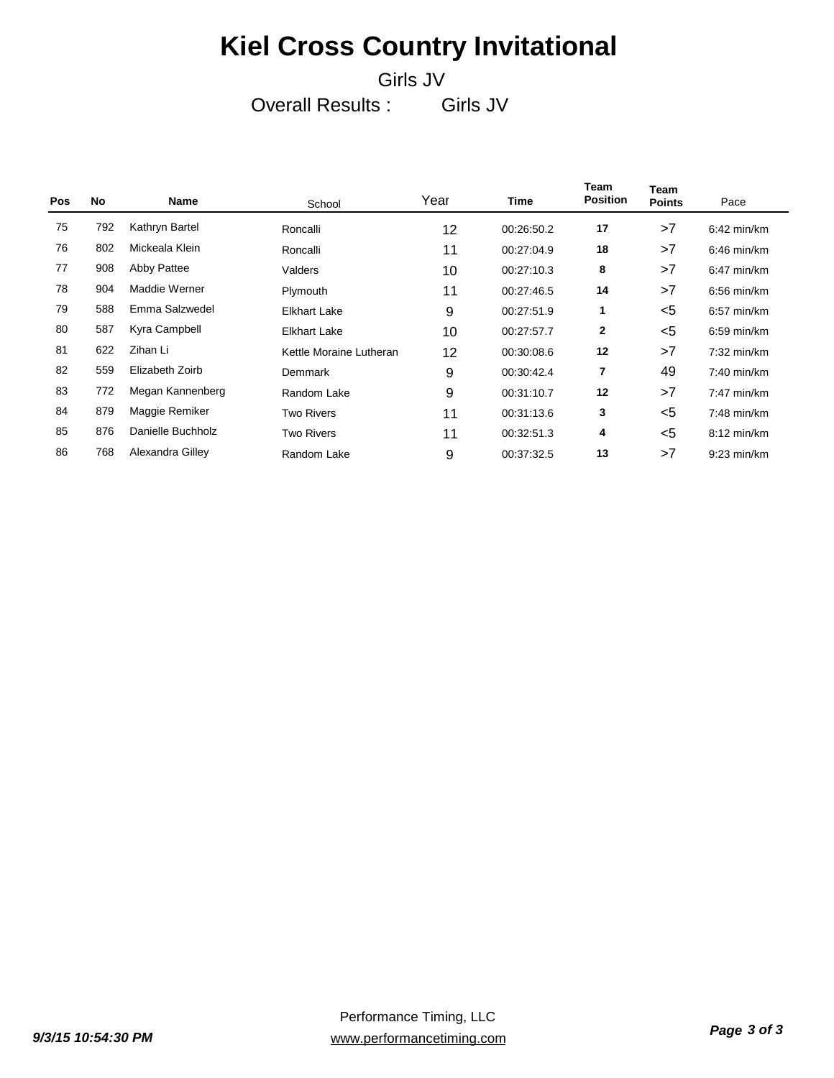Girls JV

Overall Results: Girls JV

| <b>Pos</b> | No  | Name               | School                  | Year | <b>Time</b> | Team<br><b>Position</b> | Team<br><b>Points</b> | Pace          |
|------------|-----|--------------------|-------------------------|------|-------------|-------------------------|-----------------------|---------------|
| 75         | 792 | Kathryn Bartel     | Roncalli                | 12   | 00:26:50.2  | 17                      | >7                    | $6:42$ min/km |
| 76         | 802 | Mickeala Klein     | Roncalli                | 11   | 00:27:04.9  | 18                      | >7                    | $6:46$ min/km |
| 77         | 908 | <b>Abby Pattee</b> | Valders                 | 10   | 00:27:10.3  | 8                       | >7                    | $6:47$ min/km |
| 78         | 904 | Maddie Werner      | Plymouth                | 11   | 00:27:46.5  | 14                      | >7                    | $6:56$ min/km |
| 79         | 588 | Emma Salzwedel     | <b>Elkhart Lake</b>     | 9    | 00:27:51.9  | $\mathbf 1$             | $<$ 5                 | $6:57$ min/km |
| 80         | 587 | Kyra Campbell      | <b>Elkhart Lake</b>     | 10   | 00:27:57.7  | $\mathbf{2}$            | $<$ 5                 | $6:59$ min/km |
| 81         | 622 | Zihan Li           | Kettle Moraine Lutheran | 12   | 00:30:08.6  | 12                      | >7                    | $7:32$ min/km |
| 82         | 559 | Elizabeth Zoirb    | Demmark                 | 9    | 00:30:42.4  | 7                       | 49                    | $7:40$ min/km |
| 83         | 772 | Megan Kannenberg   | Random Lake             | 9    | 00:31:10.7  | 12                      | >7                    | $7:47$ min/km |
| 84         | 879 | Maggie Remiker     | <b>Two Rivers</b>       | 11   | 00:31:13.6  | 3                       | $<$ 5                 | $7:48$ min/km |
| 85         | 876 | Danielle Buchholz  | <b>Two Rivers</b>       | 11   | 00:32:51.3  | 4                       | $<$ 5                 | $8:12$ min/km |
| 86         | 768 | Alexandra Gilley   | Random Lake             | 9    | 00:37:32.5  | 13                      | >7                    | $9:23$ min/km |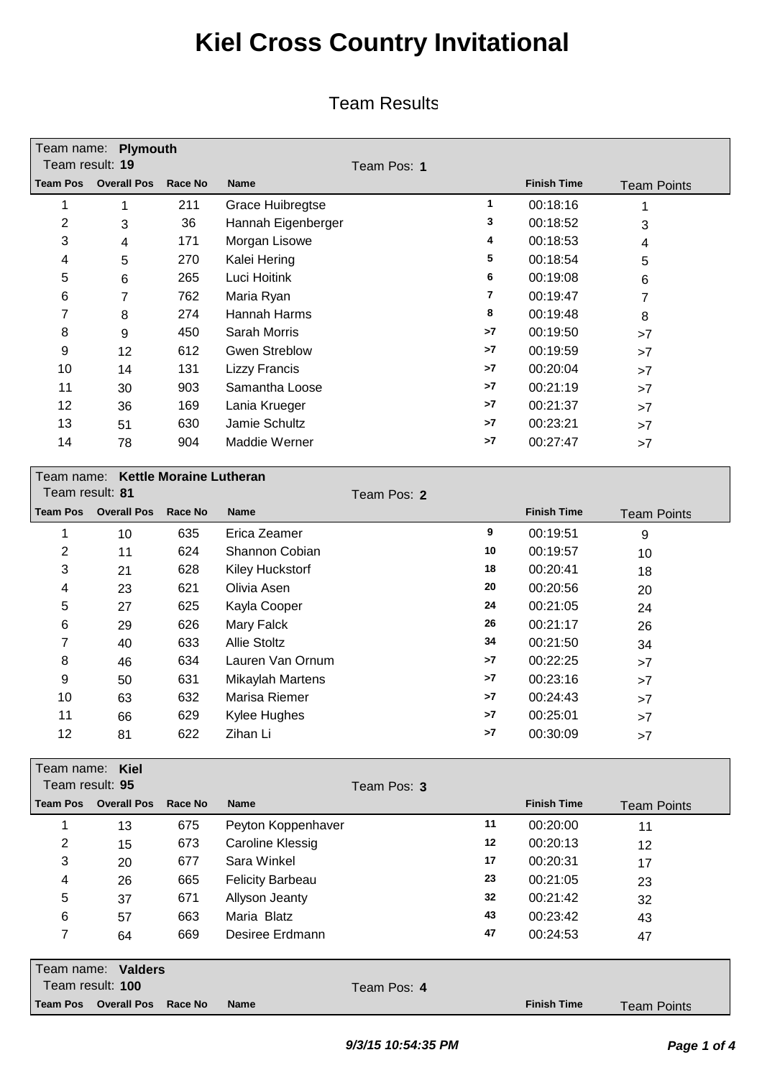|                 | Team name: Plymouth  |                                |                         |                  |                    |                    |
|-----------------|----------------------|--------------------------------|-------------------------|------------------|--------------------|--------------------|
| Team result: 19 |                      |                                |                         | Team Pos: 1      |                    |                    |
| <b>Team Pos</b> | <b>Overall Pos</b>   | Race No                        | <b>Name</b>             |                  | <b>Finish Time</b> | <b>Team Points</b> |
| 1               | 1                    | 211                            | <b>Grace Huibregtse</b> | $\mathbf{1}$     | 00:18:16           | 1                  |
| $\overline{c}$  | 3                    | 36                             | Hannah Eigenberger      | 3                | 00:18:52           | 3                  |
| 3               | 4                    | 171                            | Morgan Lisowe           | 4                | 00:18:53           | 4                  |
| 4               | 5                    | 270                            | Kalei Hering            | 5                | 00:18:54           | 5                  |
| 5               | 6                    | 265                            | Luci Hoitink            | 6                | 00:19:08           | 6                  |
| 6               | 7                    | 762                            | Maria Ryan              | 7                | 00:19:47           | $\overline{7}$     |
| 7               | 8                    | 274                            | Hannah Harms            | 8                | 00:19:48           | 8                  |
| 8               | 9                    | 450                            | Sarah Morris            | >7               | 00:19:50           | >7                 |
| 9               | 12                   | 612                            | <b>Gwen Streblow</b>    | >7               | 00:19:59           | >7                 |
| 10              | 14                   | 131                            | <b>Lizzy Francis</b>    | >7               | 00:20:04           | >7                 |
| 11              | 30                   | 903                            | Samantha Loose          | >7               | 00:21:19           | >7                 |
| 12              | 36                   | 169                            | Lania Krueger           | >7               | 00:21:37           | >7                 |
| 13              | 51                   | 630                            | Jamie Schultz           | >7               | 00:23:21           | >7                 |
| 14              | 78                   | 904                            | Maddie Werner           | >7               | 00:27:47           | >7                 |
|                 |                      |                                |                         |                  |                    |                    |
| Team name:      |                      | <b>Kettle Moraine Lutheran</b> |                         |                  |                    |                    |
| Team result: 81 |                      |                                |                         | Team Pos: 2      |                    |                    |
| <b>Team Pos</b> | <b>Overall Pos</b>   | <b>Race No</b>                 | <b>Name</b>             |                  | <b>Finish Time</b> | <b>Team Points</b> |
| 1               | 10                   | 635                            | Erica Zeamer            | $\boldsymbol{9}$ | 00:19:51           | 9                  |
| 2               | 11                   | 624                            | Shannon Cobian          | 10               | 00:19:57           | 10                 |
| 3               | 21                   | 628                            | Kiley Huckstorf         | 18               | 00:20:41           | 18                 |
| 4               | 23                   | 621                            | Olivia Asen             | 20               | 00:20:56           | 20                 |
| 5               | 27                   | 625                            | Kayla Cooper            | 24               | 00:21:05           | 24                 |
| 6               | 29                   | 626                            | Mary Falck              | 26               | 00:21:17           | 26                 |
| 7               | 40                   | 633                            | <b>Allie Stoltz</b>     | 34               | 00:21:50           | 34                 |
| 8               | 46                   | 634                            | Lauren Van Ornum        | >7               | 00:22:25           | >7                 |
| 9               | 50                   | 631                            | Mikaylah Martens        | >7               | 00:23:16           | >7                 |
| 10              | 63                   | 632                            | Marisa Riemer           | $>7$             | 00:24:43           | >7                 |
| 11              | 66                   | 629                            | Kylee Hughes            | >7               | 00:25:01           | >7                 |
| 12              | 81                   | 622                            | Zihan Li                | >7               | 00:30:09           | >7                 |
|                 |                      |                                |                         |                  |                    |                    |
| Team name:      | Kiel                 |                                |                         |                  |                    |                    |
| Team result: 95 |                      |                                |                         | Team Pos: 3      |                    |                    |
| <b>Team Pos</b> | <b>Overall Pos</b>   | <b>Race No</b>                 | <b>Name</b>             |                  | <b>Finish Time</b> | <b>Team Points</b> |
| 1               | 13                   | 675                            | Peyton Koppenhaver      | 11               | 00:20:00           | 11                 |
| $\overline{2}$  | 15                   | 673                            | Caroline Klessig        | 12               | 00:20:13           | 12                 |
| 3               | 20                   | 677                            | Sara Winkel             | 17               | 00:20:31           | 17                 |
| 4               | 26                   | 665                            | <b>Felicity Barbeau</b> | 23               | 00:21:05           | 23                 |
| 5               | 37                   | 671                            | Allyson Jeanty          | 32               | 00:21:42           | 32                 |
| 6               | 57                   | 663                            | Maria Blatz             | 43               | 00:23:42           | 43                 |
| 7               | 64                   | 669                            | Desiree Erdmann         | 47               | 00:24:53           | 47                 |
|                 |                      |                                |                         |                  |                    |                    |
|                 | Team name: Valders   |                                |                         |                  |                    |                    |
|                 | Team result: 100     |                                |                         | Team Pos: 4      |                    |                    |
|                 | Team Pos Overall Pos | <b>Race No</b>                 | <b>Name</b>             |                  | <b>Finish Time</b> | <b>Team Points</b> |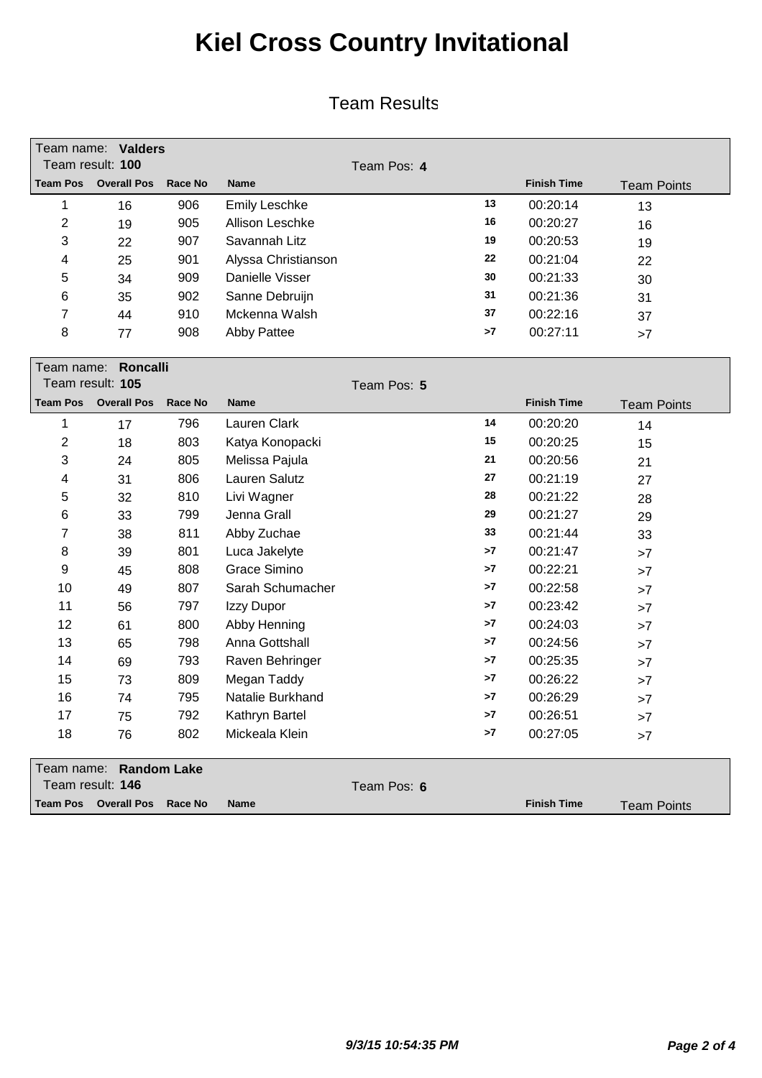|                 | Team name: Valders     |                |                      |             |    |                    |                    |
|-----------------|------------------------|----------------|----------------------|-------------|----|--------------------|--------------------|
|                 | Team result: 100       |                |                      | Team Pos: 4 |    |                    |                    |
| <b>Team Pos</b> | <b>Overall Pos</b>     | <b>Race No</b> | <b>Name</b>          |             |    | <b>Finish Time</b> | <b>Team Points</b> |
| 1               | 16                     | 906            | <b>Emily Leschke</b> |             | 13 | 00:20:14           | 13                 |
| $\overline{2}$  | 19                     | 905            | Allison Leschke      |             | 16 | 00:20:27           | 16                 |
| 3               | 22                     | 907            | Savannah Litz        |             | 19 | 00:20:53           | 19                 |
| 4               | 25                     | 901            | Alyssa Christianson  |             | 22 | 00:21:04           | 22                 |
| 5               | 34                     | 909            | Danielle Visser      |             | 30 | 00:21:33           | 30                 |
| 6               | 35                     | 902            | Sanne Debruijn       |             | 31 | 00:21:36           | 31                 |
| 7               | 44                     | 910            | Mckenna Walsh        |             | 37 | 00:22:16           | 37                 |
| 8               | 77                     | 908            | Abby Pattee          |             | >7 | 00:27:11           | >7                 |
| Team name:      | <b>Roncalli</b>        |                |                      |             |    |                    |                    |
|                 | Team result: 105       |                |                      | Team Pos: 5 |    |                    |                    |
| <b>Team Pos</b> | <b>Overall Pos</b>     | <b>Race No</b> | <b>Name</b>          |             |    | <b>Finish Time</b> | <b>Team Points</b> |
| 1               | 17                     | 796            | Lauren Clark         |             | 14 | 00:20:20           | 14                 |
| $\overline{2}$  | 18                     | 803            | Katya Konopacki      |             | 15 | 00:20:25           | 15                 |
| 3               | 24                     | 805            | Melissa Pajula       |             | 21 | 00:20:56           | 21                 |
| 4               | 31                     | 806            | Lauren Salutz        |             | 27 | 00:21:19           | 27                 |
| 5               | 32                     | 810            | Livi Wagner          |             | 28 | 00:21:22           | 28                 |
| 6               | 33                     | 799            | Jenna Grall          |             | 29 | 00:21:27           | 29                 |
| $\overline{7}$  | 38                     | 811            | Abby Zuchae          |             | 33 | 00:21:44           | 33                 |
| 8               | 39                     | 801            | Luca Jakelyte        |             | >7 | 00:21:47           | >7                 |
| 9               | 45                     | 808            | Grace Simino         |             | >7 | 00:22:21           | >7                 |
| 10              | 49                     | 807            | Sarah Schumacher     |             | >7 | 00:22:58           | >7                 |
| 11              | 56                     | 797            | Izzy Dupor           |             | >7 | 00:23:42           | >7                 |
| 12              | 61                     | 800            | Abby Henning         |             | >7 | 00:24:03           | >7                 |
| 13              | 65                     | 798            | Anna Gottshall       |             | >7 | 00:24:56           | >7                 |
| 14              | 69                     | 793            | Raven Behringer      |             | >7 | 00:25:35           | >7                 |
| 15              | 73                     | 809            | Megan Taddy          |             | >7 | 00:26:22           | >7                 |
| 16              | 74                     | 795            | Natalie Burkhand     |             | >7 | 00:26:29           | >7                 |
| 17              | 75                     | 792            | Kathryn Bartel       |             | >7 | 00:26:51           | >7                 |
| 18              | 76                     | 802            | Mickeala Klein       |             | >7 | 00:27:05           | $>7$               |
|                 | Team name: Random Lake |                |                      |             |    |                    |                    |
|                 | Team result: 146       |                |                      | Team Pos: 6 |    |                    |                    |
|                 | Team Pos Overall Pos   | <b>Race No</b> | Name                 |             |    | <b>Finish Time</b> | <b>Team Points</b> |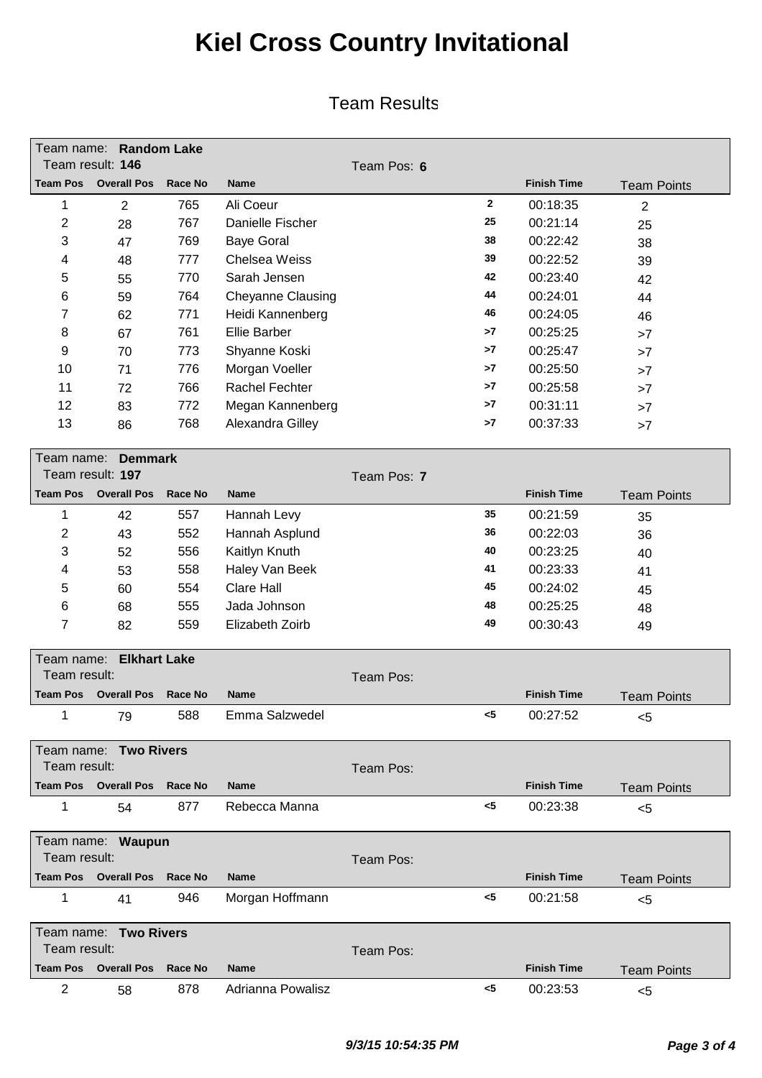|                         | Team name: Random Lake |                |                          |             |              |                    |                    |
|-------------------------|------------------------|----------------|--------------------------|-------------|--------------|--------------------|--------------------|
|                         | Team result: 146       |                |                          | Team Pos: 6 |              |                    |                    |
| <b>Team Pos</b>         | <b>Overall Pos</b>     | <b>Race No</b> | <b>Name</b>              |             |              | <b>Finish Time</b> | <b>Team Points</b> |
| 1                       | $\overline{2}$         | 765            | Ali Coeur                |             | $\mathbf{2}$ | 00:18:35           | $\overline{2}$     |
| $\overline{\mathbf{c}}$ | 28                     | 767            | Danielle Fischer         |             | 25           | 00:21:14           | 25                 |
| 3                       | 47                     | 769            | <b>Baye Goral</b>        |             | 38           | 00:22:42           | 38                 |
| 4                       | 48                     | 777            | Chelsea Weiss            |             | 39           | 00:22:52           | 39                 |
| 5                       | 55                     | 770            | Sarah Jensen             |             | 42           | 00:23:40           | 42                 |
| $\,6$                   | 59                     | 764            | <b>Cheyanne Clausing</b> |             | 44           | 00:24:01           | 44                 |
| 7                       | 62                     | 771            | Heidi Kannenberg         |             | 46           | 00:24:05           | 46                 |
| 8                       | 67                     | 761            | <b>Ellie Barber</b>      |             | >7           | 00:25:25           | >7                 |
| 9                       | 70                     | 773            | Shyanne Koski            |             | >7           | 00:25:47           | >7                 |
| 10                      | 71                     | 776            | Morgan Voeller           |             | >7           | 00:25:50           | >7                 |
| 11                      | 72                     | 766            | <b>Rachel Fechter</b>    |             | >7           | 00:25:58           | >7                 |
| 12                      | 83                     | 772            | Megan Kannenberg         |             | >7           | 00:31:11           | >7                 |
| 13                      | 86                     | 768            | Alexandra Gilley         |             | >7           | 00:37:33           | >7                 |
| Team name:              | <b>Demmark</b>         |                |                          |             |              |                    |                    |
|                         | Team result: 197       |                |                          | Team Pos: 7 |              |                    |                    |
| <b>Team Pos</b>         | <b>Overall Pos</b>     | <b>Race No</b> | <b>Name</b>              |             |              | <b>Finish Time</b> | <b>Team Points</b> |
| 1                       | 42                     | 557            | Hannah Levy              |             | 35           | 00:21:59           | 35                 |
| 2                       | 43                     | 552            | Hannah Asplund           |             | 36           | 00:22:03           | 36                 |
| 3                       | 52                     | 556            | Kaitlyn Knuth            |             | 40           | 00:23:25           | 40                 |
| 4                       | 53                     | 558            | Haley Van Beek           |             | 41           | 00:23:33           | 41                 |
| 5                       | 60                     | 554            | <b>Clare Hall</b>        |             | 45           | 00:24:02           | 45                 |
| 6                       | 68                     | 555            | Jada Johnson             |             | 48           | 00:25:25           | 48                 |
| 7                       | 82                     | 559            | Elizabeth Zoirb          |             | 49           | 00:30:43           | 49                 |
|                         |                        |                |                          |             |              |                    |                    |
| Team name:              | <b>Elkhart Lake</b>    |                |                          |             |              |                    |                    |
| Team result:            |                        |                |                          | Team Pos:   |              |                    |                    |
| <b>Team Pos</b>         | <b>Overall Pos</b>     | <b>Race No</b> | <b>Name</b>              |             |              | <b>Finish Time</b> | <b>Team Points</b> |
| 1                       | 79                     | 588            | Emma Salzwedel           |             | -5           | 00:27:52           | <5                 |
|                         |                        |                |                          |             |              |                    |                    |
|                         | Team name: Two Rivers  |                |                          |             |              |                    |                    |
| Team result:            |                        |                |                          | Team Pos:   |              |                    |                    |
| <b>Team Pos</b>         | <b>Overall Pos</b>     | <b>Race No</b> | <b>Name</b>              |             |              | <b>Finish Time</b> | <b>Team Points</b> |
| 1                       | 54                     | 877            | Rebecca Manna            |             | <5           | 00:23:38           | $<$ 5              |
|                         | Team name: Waupun      |                |                          |             |              |                    |                    |
| Team result:            |                        |                |                          | Team Pos:   |              |                    |                    |
| Team Pos                | <b>Overall Pos</b>     | Race No        | <b>Name</b>              |             |              | <b>Finish Time</b> | <b>Team Points</b> |
| 1                       | 41                     | 946            | Morgan Hoffmann          |             | <5           | 00:21:58           | $5$                |
|                         | Team name: Two Rivers  |                |                          |             |              |                    |                    |
| Team result:            |                        |                |                          | Team Pos:   |              |                    |                    |
| <b>Team Pos</b>         | <b>Overall Pos</b>     | <b>Race No</b> | <b>Name</b>              |             |              | <b>Finish Time</b> | <b>Team Points</b> |
| $\overline{2}$          | 58                     | 878            | Adrianna Powalisz        |             | $<$ 5        | 00:23:53           | $5$                |